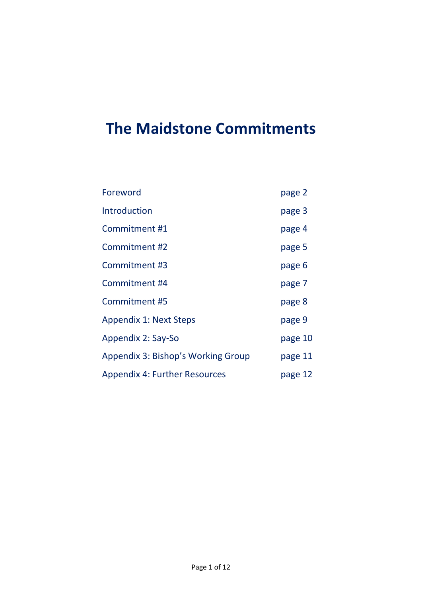# **The Maidstone Commitments**

| Foreword                             | page 2  |
|--------------------------------------|---------|
| <b>Introduction</b>                  | page 3  |
| Commitment #1                        | page 4  |
| Commitment #2                        | page 5  |
| Commitment #3                        | page 6  |
| Commitment #4                        | page 7  |
| Commitment #5                        | page 8  |
| <b>Appendix 1: Next Steps</b>        | page 9  |
| Appendix 2: Say-So                   | page 10 |
| Appendix 3: Bishop's Working Group   | page 11 |
| <b>Appendix 4: Further Resources</b> | page 12 |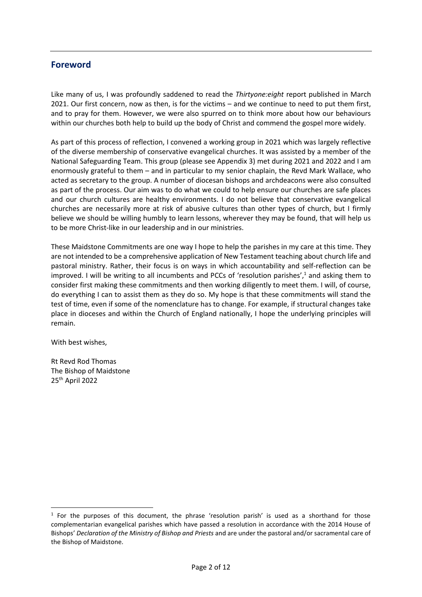#### **Foreword**

Like many of us, I was profoundly saddened to read the *Thirtyone:eight* report published in March 2021. Our first concern, now as then, is for the victims – and we continue to need to put them first, and to pray for them. However, we were also spurred on to think more about how our behaviours within our churches both help to build up the body of Christ and commend the gospel more widely.

As part of this process of reflection, I convened a working group in 2021 which was largely reflective of the diverse membership of conservative evangelical churches. It was assisted by a member of the National Safeguarding Team. This group (please see Appendix 3) met during 2021 and 2022 and I am enormously grateful to them – and in particular to my senior chaplain, the Revd Mark Wallace, who acted as secretary to the group. A number of diocesan bishops and archdeacons were also consulted as part of the process. Our aim was to do what we could to help ensure our churches are safe places and our church cultures are healthy environments. I do not believe that conservative evangelical churches are necessarily more at risk of abusive cultures than other types of church, but I firmly believe we should be willing humbly to learn lessons, wherever they may be found, that will help us to be more Christ-like in our leadership and in our ministries.

These Maidstone Commitments are one way I hope to help the parishes in my care at this time. They are not intended to be a comprehensive application of New Testament teaching about church life and pastoral ministry. Rather, their focus is on ways in which accountability and self-reflection can be improved. I will be writing to all incumbents and PCCs of 'resolution parishes',<sup>1</sup> and asking them to consider first making these commitments and then working diligently to meet them. I will, of course, do everything I can to assist them as they do so. My hope is that these commitments will stand the test of time, even if some of the nomenclature has to change. For example, if structural changes take place in dioceses and within the Church of England nationally, I hope the underlying principles will remain.

With best wishes,

Rt Revd Rod Thomas The Bishop of Maidstone 25th April 2022

 $1$  For the purposes of this document, the phrase 'resolution parish' is used as a shorthand for those complementarian evangelical parishes which have passed a resolution in accordance with the 2014 House of Bishops' *Declaration of the Ministry of Bishop and Priests* and are under the pastoral and/or sacramental care of the Bishop of Maidstone.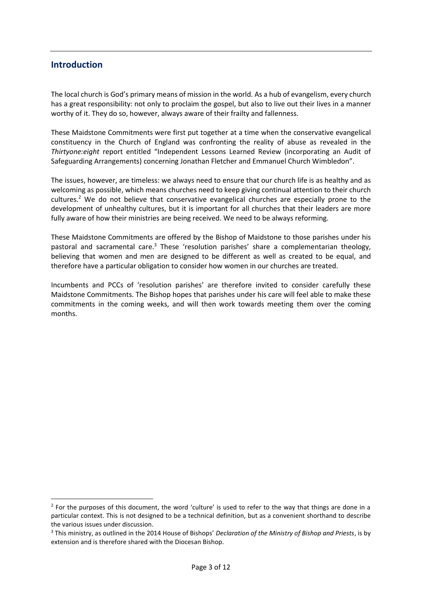#### **Introduction**

The local church is God's primary means of mission in the world. As a hub of evangelism, every church has a great responsibility: not only to proclaim the gospel, but also to live out their lives in a manner worthy of it. They do so, however, always aware of their frailty and fallenness.

These Maidstone Commitments were first put together at a time when the conservative evangelical constituency in the Church of England was confronting the reality of abuse as revealed in the *Thirtyone:eight* report entitled "Independent Lessons Learned Review (incorporating an Audit of Safeguarding Arrangements) concerning Jonathan Fletcher and Emmanuel Church Wimbledon".

The issues, however, are timeless: we always need to ensure that our church life is as healthy and as welcoming as possible, which means churches need to keep giving continual attention to their church cultures.<sup>2</sup> We do not believe that conservative evangelical churches are especially prone to the development of unhealthy cultures, but it is important for all churches that their leaders are more fully aware of how their ministries are being received. We need to be always reforming.

These Maidstone Commitments are offered by the Bishop of Maidstone to those parishes under his pastoral and sacramental care.<sup>3</sup> These 'resolution parishes' share a complementarian theology, believing that women and men are designed to be different as well as created to be equal, and therefore have a particular obligation to consider how women in our churches are treated.

Incumbents and PCCs of 'resolution parishes' are therefore invited to consider carefully these Maidstone Commitments. The Bishop hopes that parishes under his care will feel able to make these commitments in the coming weeks, and will then work towards meeting them over the coming months.

 $2$  For the purposes of this document, the word 'culture' is used to refer to the way that things are done in a particular context. This is not designed to be a technical definition, but as a convenient shorthand to describe the various issues under discussion.

<sup>3</sup> This ministry, as outlined in the 2014 House of Bishops' *Declaration of the Ministry of Bishop and Priests*, is by extension and is therefore shared with the Diocesan Bishop.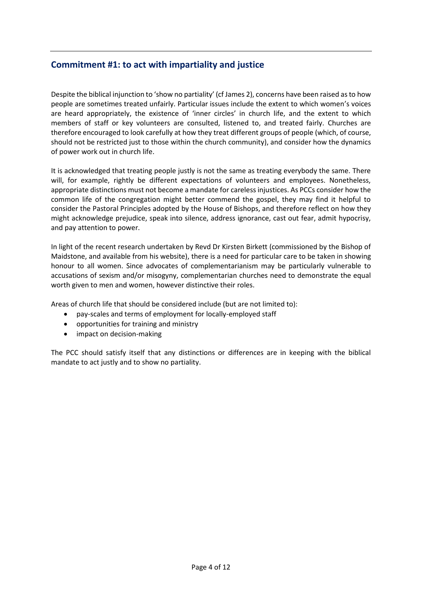## **Commitment #1: to act with impartiality and justice**

Despite the biblical injunction to 'show no partiality' (cf James 2), concerns have been raised as to how people are sometimes treated unfairly. Particular issues include the extent to which women's voices are heard appropriately, the existence of 'inner circles' in church life, and the extent to which members of staff or key volunteers are consulted, listened to, and treated fairly. Churches are therefore encouraged to look carefully at how they treat different groups of people (which, of course, should not be restricted just to those within the church community), and consider how the dynamics of power work out in church life.

It is acknowledged that treating people justly is not the same as treating everybody the same. There will, for example, rightly be different expectations of volunteers and employees. Nonetheless, appropriate distinctions must not become a mandate for careless injustices. As PCCs consider how the common life of the congregation might better commend the gospel, they may find it helpful to consider the Pastoral Principles adopted by the House of Bishops, and therefore reflect on how they might acknowledge prejudice, speak into silence, address ignorance, cast out fear, admit hypocrisy, and pay attention to power.

In light of the recent research undertaken by Revd Dr Kirsten Birkett (commissioned by the Bishop of Maidstone, and available from his website), there is a need for particular care to be taken in showing honour to all women. Since advocates of complementarianism may be particularly vulnerable to accusations of sexism and/or misogyny, complementarian churches need to demonstrate the equal worth given to men and women, however distinctive their roles.

Areas of church life that should be considered include (but are not limited to):

- pay-scales and terms of employment for locally-employed staff
- opportunities for training and ministry
- impact on decision-making

The PCC should satisfy itself that any distinctions or differences are in keeping with the biblical mandate to act justly and to show no partiality.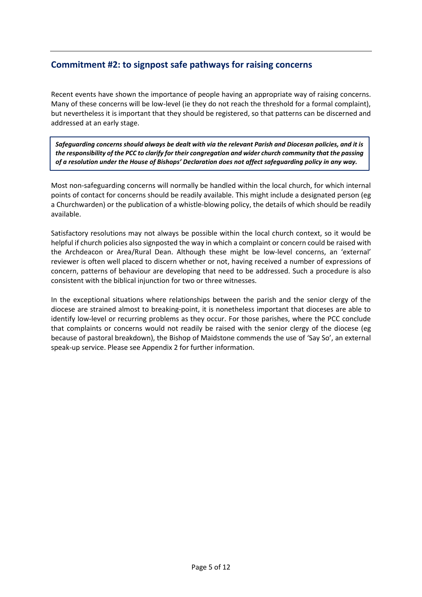## **Commitment #2: to signpost safe pathways for raising concerns**

Recent events have shown the importance of people having an appropriate way of raising concerns. Many of these concerns will be low-level (ie they do not reach the threshold for a formal complaint), but nevertheless it is important that they should be registered, so that patterns can be discerned and addressed at an early stage.

*Safeguarding concerns should always be dealt with via the relevant Parish and Diocesan policies, and it is the responsibility of the PCC to clarify for their congregation and wider church community that the passing of a resolution under the House of Bishops' Declaration does not affect safeguarding policy in any way.*

Most non-safeguarding concerns will normally be handled within the local church, for which internal points of contact for concerns should be readily available. This might include a designated person (eg a Churchwarden) or the publication of a whistle-blowing policy, the details of which should be readily available.

Satisfactory resolutions may not always be possible within the local church context, so it would be helpful if church policies also signposted the way in which a complaint or concern could be raised with the Archdeacon or Area/Rural Dean. Although these might be low-level concerns, an 'external' reviewer is often well placed to discern whether or not, having received a number of expressions of concern, patterns of behaviour are developing that need to be addressed. Such a procedure is also consistent with the biblical injunction for two or three witnesses.

In the exceptional situations where relationships between the parish and the senior clergy of the diocese are strained almost to breaking-point, it is nonetheless important that dioceses are able to identify low-level or recurring problems as they occur. For those parishes, where the PCC conclude that complaints or concerns would not readily be raised with the senior clergy of the diocese (eg because of pastoral breakdown), the Bishop of Maidstone commends the use of 'Say So', an external speak-up service. Please see Appendix 2 for further information.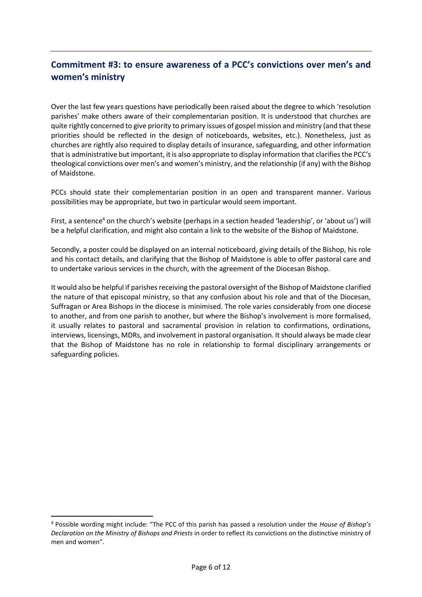# **Commitment #3: to ensure awareness of a PCC's convictions over men's and women's ministry**

Over the last few years questions have periodically been raised about the degree to which 'resolution parishes' make others aware of their complementarian position. It is understood that churches are quite rightly concerned to give priority to primary issues of gospel mission and ministry (and that these priorities should be reflected in the design of noticeboards, websites, etc.). Nonetheless, just as churches are rightly also required to display details of insurance, safeguarding, and other information that is administrative but important, it is also appropriate to display information that clarifies the PCC's theological convictions over men's and women's ministry, and the relationship (if any) with the Bishop of Maidstone.

PCCs should state their complementarian position in an open and transparent manner. Various possibilities may be appropriate, but two in particular would seem important.

First, a sentence<sup>4</sup> on the church's website (perhaps in a section headed 'leadership', or 'about us') will be a helpful clarification, and might also contain a link to the website of the Bishop of Maidstone.

Secondly, a poster could be displayed on an internal noticeboard, giving details of the Bishop, his role and his contact details, and clarifying that the Bishop of Maidstone is able to offer pastoral care and to undertake various services in the church, with the agreement of the Diocesan Bishop.

It would also be helpful if parishes receiving the pastoral oversight of the Bishop of Maidstone clarified the nature of that episcopal ministry, so that any confusion about his role and that of the Diocesan, Suffragan or Area Bishops in the diocese is minimised. The role varies considerably from one diocese to another, and from one parish to another, but where the Bishop's involvement is more formalised, it usually relates to pastoral and sacramental provision in relation to confirmations, ordinations, interviews, licensings, MDRs, and involvement in pastoral organisation. It should always be made clear that the Bishop of Maidstone has no role in relationship to formal disciplinary arrangements or safeguarding policies.

<sup>4</sup> Possible wording might include: "The PCC of this parish has passed a resolution under the *House of Bishop's Declaration on the Ministry of Bishops and Priests* in order to reflect its convictions on the distinctive ministry of men and women".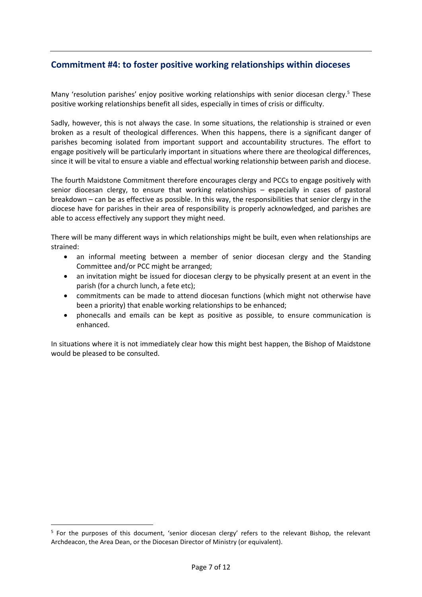## **Commitment #4: to foster positive working relationships within dioceses**

Many 'resolution parishes' enjoy positive working relationships with senior diocesan clergy.<sup>5</sup> These positive working relationships benefit all sides, especially in times of crisis or difficulty.

Sadly, however, this is not always the case. In some situations, the relationship is strained or even broken as a result of theological differences. When this happens, there is a significant danger of parishes becoming isolated from important support and accountability structures. The effort to engage positively will be particularly important in situations where there are theological differences, since it will be vital to ensure a viable and effectual working relationship between parish and diocese.

The fourth Maidstone Commitment therefore encourages clergy and PCCs to engage positively with senior diocesan clergy, to ensure that working relationships – especially in cases of pastoral breakdown – can be as effective as possible. In this way, the responsibilities that senior clergy in the diocese have for parishes in their area of responsibility is properly acknowledged, and parishes are able to access effectively any support they might need.

There will be many different ways in which relationships might be built, even when relationships are strained:

- an informal meeting between a member of senior diocesan clergy and the Standing Committee and/or PCC might be arranged;
- an invitation might be issued for diocesan clergy to be physically present at an event in the parish (for a church lunch, a fete etc);
- commitments can be made to attend diocesan functions (which might not otherwise have been a priority) that enable working relationships to be enhanced;
- phonecalls and emails can be kept as positive as possible, to ensure communication is enhanced.

In situations where it is not immediately clear how this might best happen, the Bishop of Maidstone would be pleased to be consulted.

<sup>&</sup>lt;sup>5</sup> For the purposes of this document, 'senior diocesan clergy' refers to the relevant Bishop, the relevant Archdeacon, the Area Dean, or the Diocesan Director of Ministry (or equivalent).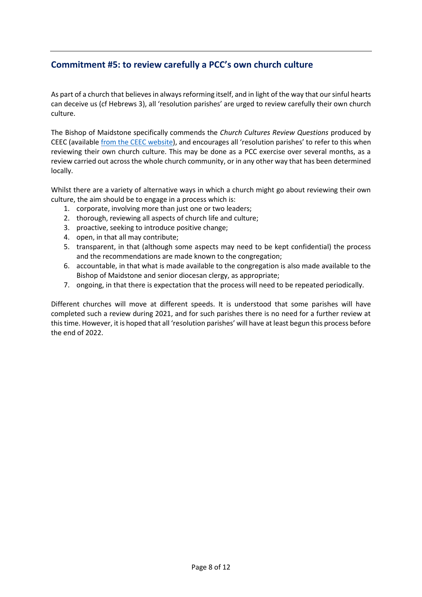## **Commitment #5: to review carefully a PCC's own church culture**

As part of a church that believes in always reforming itself, and in light of the way that our sinful hearts can deceive us (cf Hebrews 3), all 'resolution parishes' are urged to review carefully their own church culture.

The Bishop of Maidstone specifically commends the *Church Cultures Review Questions* produced by CEEC (available [from the CEEC website\)](http://www.ceec.info/uploads/4/4/2/7/44274161/in_lament_-_church_cultures_-_leaflet.pdf), and encourages all 'resolution parishes' to refer to this when reviewing their own church culture. This may be done as a PCC exercise over several months, as a review carried out across the whole church community, or in any other way that has been determined locally.

Whilst there are a variety of alternative ways in which a church might go about reviewing their own culture, the aim should be to engage in a process which is:

- 1. corporate, involving more than just one or two leaders;
- 2. thorough, reviewing all aspects of church life and culture;
- 3. proactive, seeking to introduce positive change;
- 4. open, in that all may contribute;
- 5. transparent, in that (although some aspects may need to be kept confidential) the process and the recommendations are made known to the congregation;
- 6. accountable, in that what is made available to the congregation is also made available to the Bishop of Maidstone and senior diocesan clergy, as appropriate;
- 7. ongoing, in that there is expectation that the process will need to be repeated periodically.

Different churches will move at different speeds. It is understood that some parishes will have completed such a review during 2021, and for such parishes there is no need for a further review at this time. However, it is hoped that all 'resolution parishes' will have at least begun this process before the end of 2022.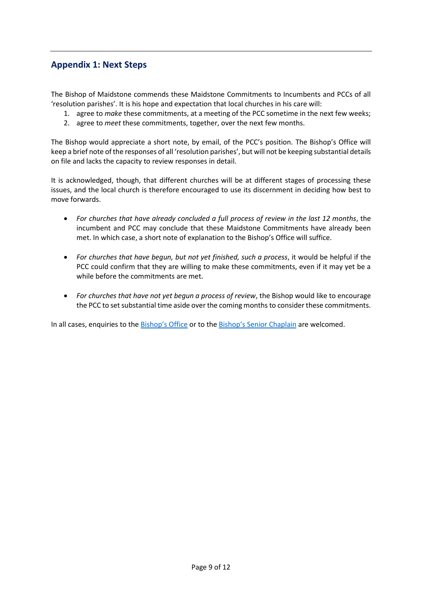## **Appendix 1: Next Steps**

The Bishop of Maidstone commends these Maidstone Commitments to Incumbents and PCCs of all 'resolution parishes'. It is his hope and expectation that local churches in his care will:

- 1. agree to *make* these commitments, at a meeting of the PCC sometime in the next few weeks;
- 2. agree to *meet* these commitments, together, over the next few months.

The Bishop would appreciate a short note, by email, of the PCC's position. The Bishop's Office will keep a brief note of the responses of all 'resolution parishes', but will not be keeping substantial details on file and lacks the capacity to review responses in detail.

It is acknowledged, though, that different churches will be at different stages of processing these issues, and the local church is therefore encouraged to use its discernment in deciding how best to move forwards.

- *For churches that have already concluded a full process of review in the last 12 months*, the incumbent and PCC may conclude that these Maidstone Commitments have already been met. In which case, a short note of explanation to the Bishop's Office will suffice.
- *For churches that have begun, but not yet finished, such a process*, it would be helpful if the PCC could confirm that they are willing to make these commitments, even if it may yet be a while before the commitments are met.
- *For churches that have not yet begun a process of review*, the Bishop would like to encourage the PCC to set substantial time aside over the coming months to consider these commitments.

In all cases, enquiries to the [Bishop's Office](mailto:rachel.lickiss@bishopofmaidstone.org) or to the [Bishop's Senior Chaplain](mailto:mark.wallace@bishopofmaidstone.org) are welcomed.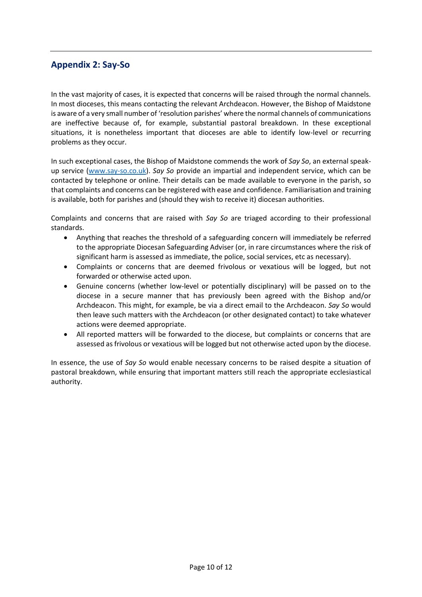#### **Appendix 2: Say-So**

In the vast majority of cases, it is expected that concerns will be raised through the normal channels. In most dioceses, this means contacting the relevant Archdeacon. However, the Bishop of Maidstone is aware of a very small number of 'resolution parishes' where the normal channels of communications are ineffective because of, for example, substantial pastoral breakdown. In these exceptional situations, it is nonetheless important that dioceses are able to identify low-level or recurring problems as they occur.

In such exceptional cases, the Bishop of Maidstone commends the work of *Say So*, an external speakup service [\(www.say-so.co.uk\)](http://www.say-so.co.uk/). *Say So* provide an impartial and independent service, which can be contacted by telephone or online. Their details can be made available to everyone in the parish, so that complaints and concerns can be registered with ease and confidence. Familiarisation and training is available, both for parishes and (should they wish to receive it) diocesan authorities.

Complaints and concerns that are raised with *Say So* are triaged according to their professional standards.

- Anything that reaches the threshold of a safeguarding concern will immediately be referred to the appropriate Diocesan Safeguarding Adviser (or, in rare circumstances where the risk of significant harm is assessed as immediate, the police, social services, etc as necessary).
- Complaints or concerns that are deemed frivolous or vexatious will be logged, but not forwarded or otherwise acted upon.
- Genuine concerns (whether low-level or potentially disciplinary) will be passed on to the diocese in a secure manner that has previously been agreed with the Bishop and/or Archdeacon. This might, for example, be via a direct email to the Archdeacon. *Say So* would then leave such matters with the Archdeacon (or other designated contact) to take whatever actions were deemed appropriate.
- All reported matters will be forwarded to the diocese, but complaints or concerns that are assessed as frivolous or vexatious will be logged but not otherwise acted upon by the diocese.

In essence, the use of *Say So* would enable necessary concerns to be raised despite a situation of pastoral breakdown, while ensuring that important matters still reach the appropriate ecclesiastical authority.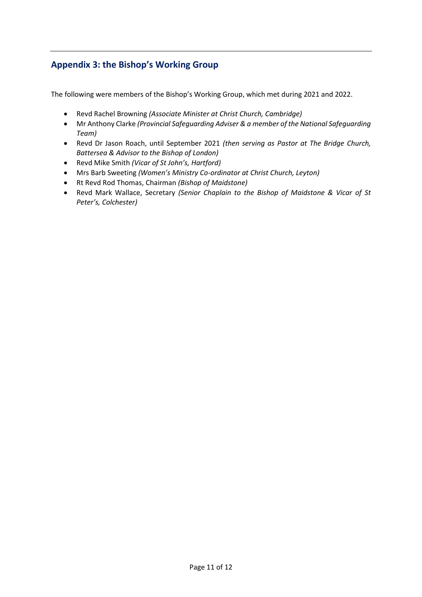# **Appendix 3: the Bishop's Working Group**

The following were members of the Bishop's Working Group, which met during 2021 and 2022.

- Revd Rachel Browning *(Associate Minister at Christ Church, Cambridge)*
- Mr Anthony Clarke *(Provincial Safeguarding Adviser & a member of the National Safeguarding Team)*
- Revd Dr Jason Roach, until September 2021 *(then serving as Pastor at The Bridge Church, Battersea & Advisor to the Bishop of London)*
- Revd Mike Smith *(Vicar of St John's, Hartford)*
- Mrs Barb Sweeting *(Women's Ministry Co-ordinator at Christ Church, Leyton)*
- Rt Revd Rod Thomas, Chairman *(Bishop of Maidstone)*
- Revd Mark Wallace, Secretary *(Senior Chaplain to the Bishop of Maidstone & Vicar of St Peter's, Colchester)*